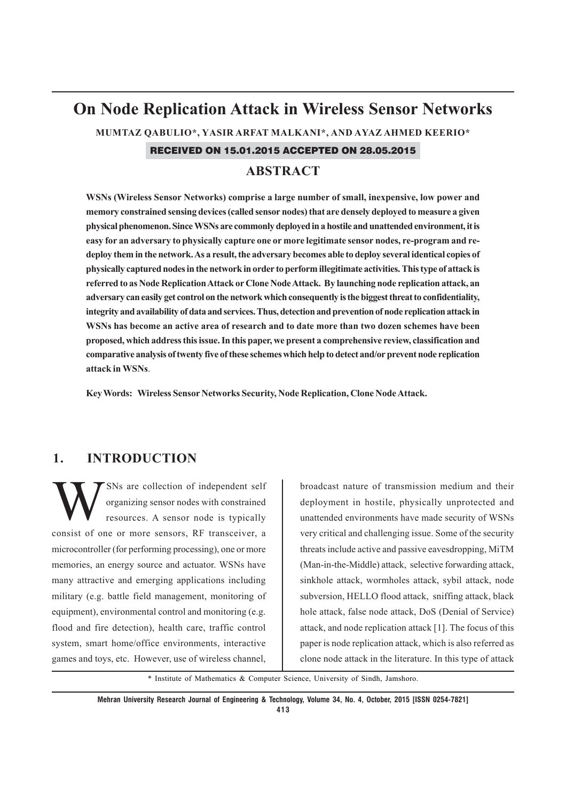# **On Node Replication Attack in Wireless Sensor Networks**

**MUMTAZ QABULIO\*, YASIR ARFAT MALKANI\*, AND AYAZ AHMED KEERIO\***

RECEIVED ON 15.01.2015 ACCEPTED ON 28.05.2015

#### **ABSTRACT**

**WSNs (Wireless Sensor Networks) comprise a large number of small, inexpensive, low power and memory constrained sensing devices (called sensor nodes) that are densely deployed to measure a given physical phenomenon. Since WSNs are commonly deployed in a hostile and unattended environment, it is easy for an adversary to physically capture one or more legitimate sensor nodes, re-program and redeploy them in the network. As a result, the adversary becomes able to deploy several identical copies of physically captured nodes in the network in order to perform illegitimate activities. This type of attack is referred to as Node Replication Attack or Clone Node Attack. By launching node replication attack, an adversary can easily get control on the network which consequently is the biggest threat to confidentiality, integrity and availability of data and services. Thus, detection and prevention of node replication attack in WSNs has become an active area of research and to date more than two dozen schemes have been proposed, which address this issue. In this paper, we present a comprehensive review, classification and comparative analysis of twenty five of these schemes which help to detect and/or prevent node replication attack in WSNs**.

**Key Words: Wireless Sensor Networks Security, Node Replication, Clone Node Attack.**

### **1. INTRODUCTION**

SNs are collection of independent self<br>organizing sensor nodes with constrained<br>resources. A sensor node is typically organizing sensor nodes with constrained resources. A sensor node is typically consist of one or more sensors, RF transceiver, a microcontroller (for performing processing), one or more memories, an energy source and actuator. WSNs have many attractive and emerging applications including military (e.g. battle field management, monitoring of equipment), environmental control and monitoring (e.g. flood and fire detection), health care, traffic control system, smart home/office environments, interactive games and toys, etc. However, use of wireless channel,

broadcast nature of transmission medium and their deployment in hostile, physically unprotected and unattended environments have made security of WSNs very critical and challenging issue. Some of the security threats include active and passive eavesdropping, MiTM (Man-in-the-Middle) attack, selective forwarding attack, sinkhole attack, wormholes attack, sybil attack, node subversion, HELLO flood attack, sniffing attack, black hole attack, false node attack, DoS (Denial of Service) attack, and node replication attack [1]. The focus of this paper is node replication attack, which is also referred as clone node attack in the literature. In this type of attack

\* Institute of Mathematics & Computer Science, University of Sindh, Jamshoro.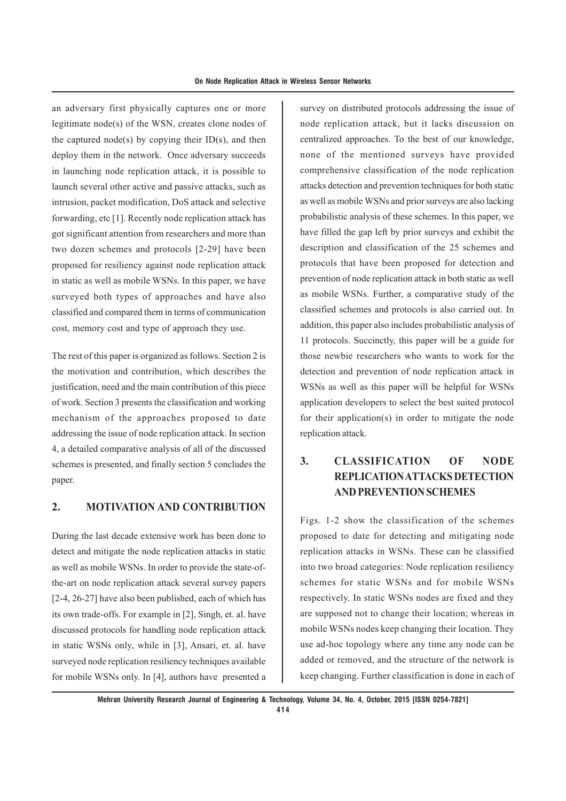an adversary first physically captures one or more legitimate node(s) of the WSN, creates clone nodes of the captured node(s) by copying their  $ID(s)$ , and then deploy them in the network. Once adversary succeeds in launching node replication attack, it is possible to launch several other active and passive attacks, such as intrusion, packet modification, DoS attack and selective forwarding, etc [1]. Recently node replication attack has got significant attention from researchers and more than two dozen schemes and protocols [2-29] have been proposed for resiliency against node replication attack in static as well as mobile WSNs. In this paper, we have surveyed both types of approaches and have also classified and compared them in terms of communication cost, memory cost and type of approach they use.

The rest of this paper is organized as follows. Section 2 is the motivation and contribution, which describes the justification, need and the main contribution of this piece of work. Section 3 presents the classification and working mechanism of the approaches proposed to date addressing the issue of node replication attack. In section 4, a detailed comparative analysis of all of the discussed schemes is presented, and finally section 5 concludes the paper.

#### **2. MOTIVATION AND CONTRIBUTION**

During the last decade extensive work has been done to detect and mitigate the node replication attacks in static as well as mobile WSNs. In order to provide the state-ofthe-art on node replication attack several survey papers [2-4, 26-27] have also been published, each of which has its own trade-offs. For example in [2], Singh, et. al. have discussed protocols for handling node replication attack in static WSNs only, while in [3], Ansari, et. al. have surveyed node replication resiliency techniques available for mobile WSNs only. In [4], authors have presented a

survey on distributed protocols addressing the issue of node replication attack, but it lacks discussion on centralized approaches. To the best of our knowledge, none of the mentioned surveys have provided comprehensive classification of the node replication attacks detection and prevention techniques for both static as well as mobile WSNs and prior surveys are also lacking probabilistic analysis of these schemes. In this paper, we have filled the gap left by prior surveys and exhibit the description and classification of the 25 schemes and protocols that have been proposed for detection and prevention of node replication attack in both static as well as mobile WSNs. Further, a comparative study of the classified schemes and protocols is also carried out. In addition, this paper also includes probabilistic analysis of 11 protocols. Succinctly, this paper will be a guide for those newbie researchers who wants to work for the detection and prevention of node replication attack in WSNs as well as this paper will be helpful for WSNs application developers to select the best suited protocol for their application(s) in order to mitigate the node replication attack.

# **3. CLASSIFICATION OF NODE REPLICATION ATTACKS DETECTION AND PREVENTION SCHEMES**

Figs. 1-2 show the classification of the schemes proposed to date for detecting and mitigating node replication attacks in WSNs. These can be classified into two broad categories: Node replication resiliency schemes for static WSNs and for mobile WSNs respectively. In static WSNs nodes are fixed and they are supposed not to change their location; whereas in mobile WSNs nodes keep changing their location. They use ad-hoc topology where any time any node can be added or removed, and the structure of the network is keep changing. Further classification is done in each of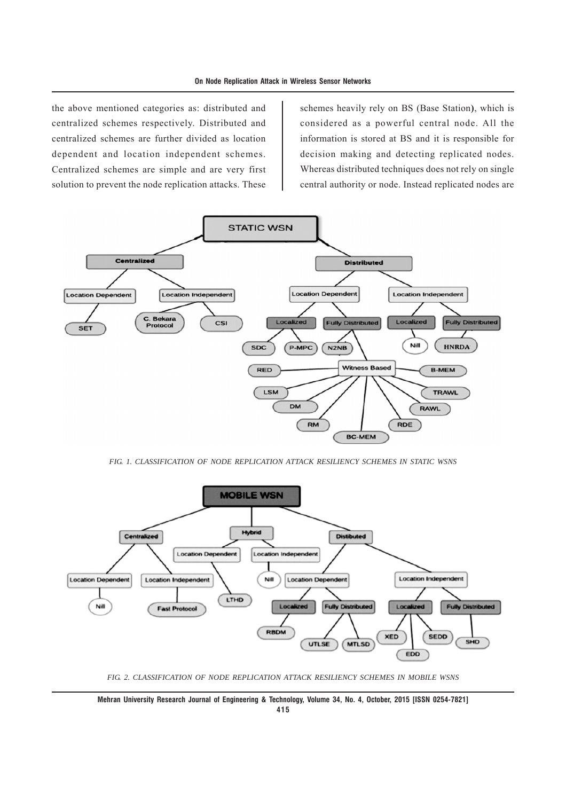the above mentioned categories as: distributed and centralized schemes respectively. Distributed and centralized schemes are further divided as location dependent and location independent schemes. Centralized schemes are simple and are very first solution to prevent the node replication attacks. These

schemes heavily rely on BS (Base Station**)**, which is considered as a powerful central node. All the information is stored at BS and it is responsible for decision making and detecting replicated nodes. Whereas distributed techniques does not rely on single central authority or node. Instead replicated nodes are



*FIG. 1. CLASSIFICATION OF NODE REPLICATION ATTACK RESILIENCY SCHEMES IN STATIC WSNS*



*FIG. 2. CLASSIFICATION OF NODE REPLICATION ATTACK RESILIENCY SCHEMES IN MOBILE WSNS*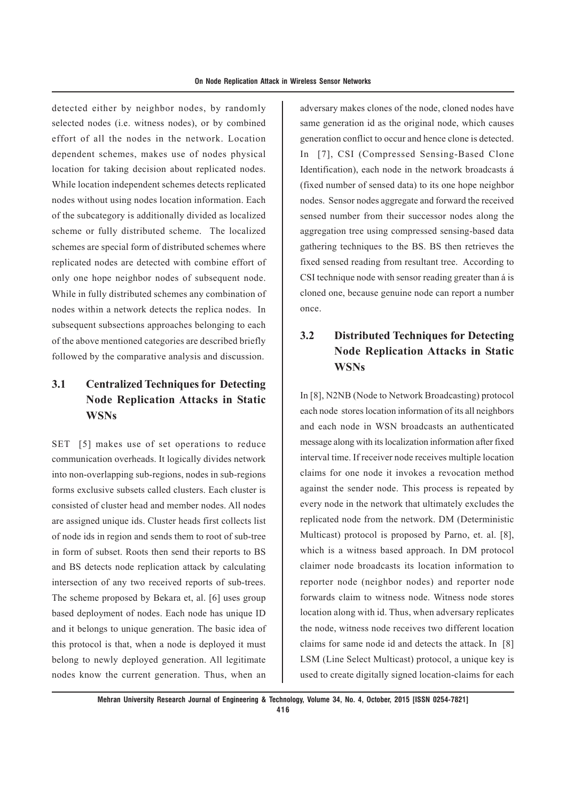detected either by neighbor nodes, by randomly selected nodes (i.e. witness nodes), or by combined effort of all the nodes in the network. Location dependent schemes, makes use of nodes physical location for taking decision about replicated nodes. While location independent schemes detects replicated nodes without using nodes location information. Each of the subcategory is additionally divided as localized scheme or fully distributed scheme. The localized schemes are special form of distributed schemes where replicated nodes are detected with combine effort of only one hope neighbor nodes of subsequent node. While in fully distributed schemes any combination of nodes within a network detects the replica nodes. In subsequent subsections approaches belonging to each of the above mentioned categories are described briefly followed by the comparative analysis and discussion.

# **3.1 Centralized Techniques for Detecting Node Replication Attacks in Static WSNs**

SET [5] makes use of set operations to reduce communication overheads. It logically divides network into non-overlapping sub-regions, nodes in sub-regions forms exclusive subsets called clusters. Each cluster is consisted of cluster head and member nodes. All nodes are assigned unique ids. Cluster heads first collects list of node ids in region and sends them to root of sub-tree in form of subset. Roots then send their reports to BS and BS detects node replication attack by calculating intersection of any two received reports of sub-trees. The scheme proposed by Bekara et, al. [6] uses group based deployment of nodes. Each node has unique ID and it belongs to unique generation. The basic idea of this protocol is that, when a node is deployed it must belong to newly deployed generation. All legitimate nodes know the current generation. Thus, when an adversary makes clones of the node, cloned nodes have same generation id as the original node, which causes generation conflict to occur and hence clone is detected. In [7], CSI (Compressed Sensing-Based Clone Identification), each node in the network broadcasts á (fixed number of sensed data) to its one hope neighbor nodes. Sensor nodes aggregate and forward the received sensed number from their successor nodes along the aggregation tree using compressed sensing-based data gathering techniques to the BS. BS then retrieves the fixed sensed reading from resultant tree. According to CSI technique node with sensor reading greater than á is cloned one, because genuine node can report a number once.

# **3.2 Distributed Techniques for Detecting Node Replication Attacks in Static WSNs**

In [8], N2NB (Node to Network Broadcasting) protocol each node stores location information of its all neighbors and each node in WSN broadcasts an authenticated message along with its localization information after fixed interval time. If receiver node receives multiple location claims for one node it invokes a revocation method against the sender node. This process is repeated by every node in the network that ultimately excludes the replicated node from the network. DM (Deterministic Multicast) protocol is proposed by Parno, et. al. [8], which is a witness based approach. In DM protocol claimer node broadcasts its location information to reporter node (neighbor nodes) and reporter node forwards claim to witness node. Witness node stores location along with id. Thus, when adversary replicates the node, witness node receives two different location claims for same node id and detects the attack. In [8] LSM (Line Select Multicast) protocol, a unique key is used to create digitally signed location-claims for each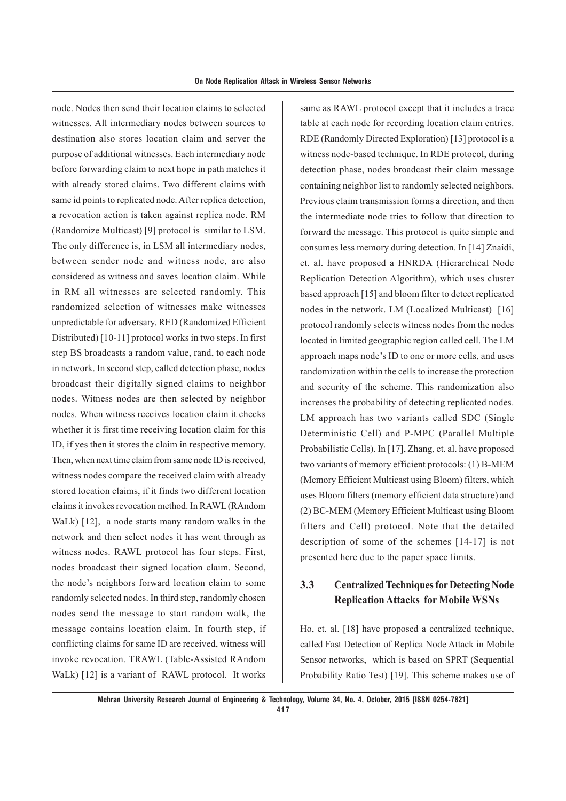node. Nodes then send their location claims to selected witnesses. All intermediary nodes between sources to destination also stores location claim and server the purpose of additional witnesses. Each intermediary node before forwarding claim to next hope in path matches it with already stored claims. Two different claims with same id points to replicated node. After replica detection, a revocation action is taken against replica node. RM (Randomize Multicast) [9] protocol is similar to LSM. The only difference is, in LSM all intermediary nodes, between sender node and witness node, are also considered as witness and saves location claim. While in RM all witnesses are selected randomly. This randomized selection of witnesses make witnesses unpredictable for adversary. RED (Randomized Efficient Distributed) [10-11] protocol works in two steps. In first step BS broadcasts a random value, rand, to each node in network. In second step, called detection phase, nodes broadcast their digitally signed claims to neighbor nodes. Witness nodes are then selected by neighbor nodes. When witness receives location claim it checks whether it is first time receiving location claim for this ID, if yes then it stores the claim in respective memory. Then, when next time claim from same node ID is received, witness nodes compare the received claim with already stored location claims, if it finds two different location claims it invokes revocation method. In RAWL (RAndom WaLk) [12], a node starts many random walks in the network and then select nodes it has went through as witness nodes. RAWL protocol has four steps. First, nodes broadcast their signed location claim. Second, the node's neighbors forward location claim to some randomly selected nodes. In third step, randomly chosen nodes send the message to start random walk, the message contains location claim. In fourth step, if conflicting claims for same ID are received, witness will invoke revocation. TRAWL (Table-Assisted RAndom WaLk) [12] is a variant of RAWL protocol. It works

same as RAWL protocol except that it includes a trace table at each node for recording location claim entries. RDE (Randomly Directed Exploration) [13] protocol is a witness node-based technique. In RDE protocol, during detection phase, nodes broadcast their claim message containing neighbor list to randomly selected neighbors. Previous claim transmission forms a direction, and then the intermediate node tries to follow that direction to forward the message. This protocol is quite simple and consumes less memory during detection. In [14] Znaidi, et. al. have proposed a HNRDA (Hierarchical Node Replication Detection Algorithm), which uses cluster based approach [15] and bloom filter to detect replicated nodes in the network. LM (Localized Multicast) [16] protocol randomly selects witness nodes from the nodes located in limited geographic region called cell. The LM approach maps node's ID to one or more cells, and uses randomization within the cells to increase the protection and security of the scheme. This randomization also increases the probability of detecting replicated nodes. LM approach has two variants called SDC (Single Deterministic Cell) and P-MPC (Parallel Multiple Probabilistic Cells). In [17], Zhang, et. al. have proposed two variants of memory efficient protocols: (1) B-MEM (Memory Efficient Multicast using Bloom) filters, which uses Bloom filters (memory efficient data structure) and (2) BC-MEM (Memory Efficient Multicast using Bloom filters and Cell) protocol. Note that the detailed description of some of the schemes [14-17] is not presented here due to the paper space limits.

### **3.3 Centralized Techniques for Detecting Node Replication Attacks for Mobile WSNs**

Ho, et. al. [18] have proposed a centralized technique, called Fast Detection of Replica Node Attack in Mobile Sensor networks, which is based on SPRT (Sequential Probability Ratio Test) [19]. This scheme makes use of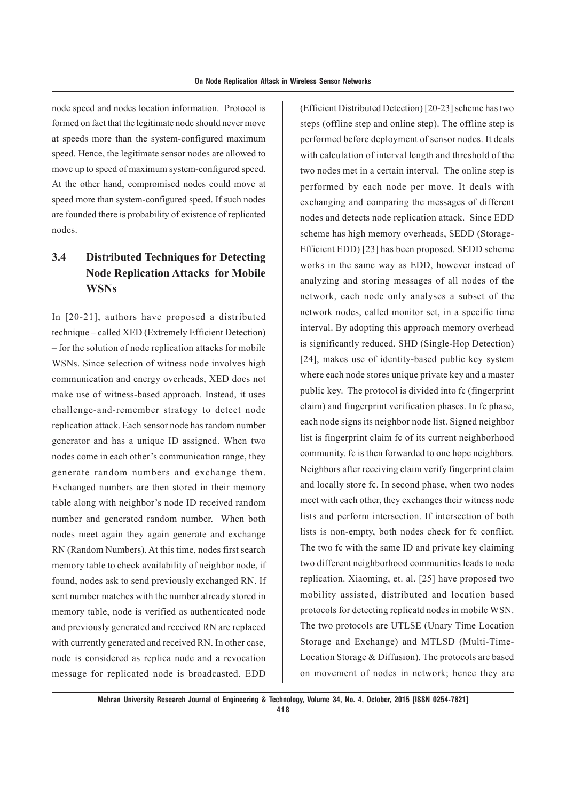node speed and nodes location information. Protocol is formed on fact that the legitimate node should never move at speeds more than the system-configured maximum speed. Hence, the legitimate sensor nodes are allowed to move up to speed of maximum system-configured speed. At the other hand, compromised nodes could move at speed more than system-configured speed. If such nodes are founded there is probability of existence of replicated nodes.

# **3.4 Distributed Techniques for Detecting Node Replication Attacks for Mobile WSNs**

In [20-21], authors have proposed a distributed technique – called XED (Extremely Efficient Detection) – for the solution of node replication attacks for mobile WSNs. Since selection of witness node involves high communication and energy overheads, XED does not make use of witness-based approach. Instead, it uses challenge-and-remember strategy to detect node replication attack. Each sensor node has random number generator and has a unique ID assigned. When two nodes come in each other's communication range, they generate random numbers and exchange them. Exchanged numbers are then stored in their memory table along with neighbor's node ID received random number and generated random number. When both nodes meet again they again generate and exchange RN (Random Numbers). At this time, nodes first search memory table to check availability of neighbor node, if found, nodes ask to send previously exchanged RN. If sent number matches with the number already stored in memory table, node is verified as authenticated node and previously generated and received RN are replaced with currently generated and received RN. In other case, node is considered as replica node and a revocation message for replicated node is broadcasted. EDD

(Efficient Distributed Detection) [20-23] scheme has two steps (offline step and online step). The offline step is performed before deployment of sensor nodes. It deals with calculation of interval length and threshold of the two nodes met in a certain interval. The online step is performed by each node per move. It deals with exchanging and comparing the messages of different nodes and detects node replication attack. Since EDD scheme has high memory overheads, SEDD (Storage-Efficient EDD) [23] has been proposed. SEDD scheme works in the same way as EDD, however instead of analyzing and storing messages of all nodes of the network, each node only analyses a subset of the network nodes, called monitor set, in a specific time interval. By adopting this approach memory overhead is significantly reduced. SHD (Single-Hop Detection) [24], makes use of identity-based public key system where each node stores unique private key and a master public key. The protocol is divided into fc (fingerprint claim) and fingerprint verification phases. In fc phase, each node signs its neighbor node list. Signed neighbor list is fingerprint claim fc of its current neighborhood community. fc is then forwarded to one hope neighbors. Neighbors after receiving claim verify fingerprint claim and locally store fc. In second phase, when two nodes meet with each other, they exchanges their witness node lists and perform intersection. If intersection of both lists is non-empty, both nodes check for fc conflict. The two fc with the same ID and private key claiming two different neighborhood communities leads to node replication. Xiaoming, et. al. [25] have proposed two mobility assisted, distributed and location based protocols for detecting replicatd nodes in mobile WSN. The two protocols are UTLSE (Unary Time Location Storage and Exchange) and MTLSD (Multi-Time-Location Storage & Diffusion). The protocols are based on movement of nodes in network; hence they are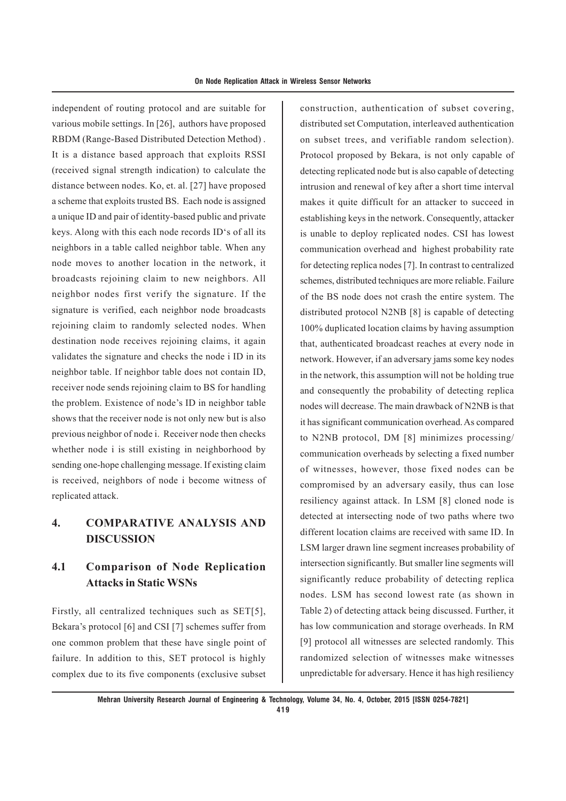independent of routing protocol and are suitable for various mobile settings. In [26], authors have proposed RBDM (Range-Based Distributed Detection Method) . It is a distance based approach that exploits RSSI (received signal strength indication) to calculate the distance between nodes. Ko, et. al. [27] have proposed a scheme that exploits trusted BS. Each node is assigned a unique ID and pair of identity-based public and private keys. Along with this each node records ID's of all its neighbors in a table called neighbor table. When any node moves to another location in the network, it broadcasts rejoining claim to new neighbors. All neighbor nodes first verify the signature. If the signature is verified, each neighbor node broadcasts rejoining claim to randomly selected nodes. When destination node receives rejoining claims, it again validates the signature and checks the node i ID in its neighbor table. If neighbor table does not contain ID, receiver node sends rejoining claim to BS for handling the problem. Existence of node's ID in neighbor table shows that the receiver node is not only new but is also previous neighbor of node i. Receiver node then checks whether node i is still existing in neighborhood by sending one-hope challenging message. If existing claim is received, neighbors of node i become witness of replicated attack.

### **4. COMPARATIVE ANALYSIS AND DISCUSSION**

### **4.1 Comparison of Node Replication Attacks in Static WSNs**

Firstly, all centralized techniques such as SET[5]. Bekara's protocol [6] and CSI [7] schemes suffer from one common problem that these have single point of failure. In addition to this, SET protocol is highly complex due to its five components (exclusive subset construction, authentication of subset covering, distributed set Computation, interleaved authentication on subset trees, and verifiable random selection). Protocol proposed by Bekara, is not only capable of detecting replicated node but is also capable of detecting intrusion and renewal of key after a short time interval makes it quite difficult for an attacker to succeed in establishing keys in the network. Consequently, attacker is unable to deploy replicated nodes. CSI has lowest communication overhead and highest probability rate for detecting replica nodes [7]. In contrast to centralized schemes, distributed techniques are more reliable. Failure of the BS node does not crash the entire system. The distributed protocol N2NB [8] is capable of detecting 100% duplicated location claims by having assumption that, authenticated broadcast reaches at every node in network. However, if an adversary jams some key nodes in the network, this assumption will not be holding true and consequently the probability of detecting replica nodes will decrease. The main drawback of N2NB is that it has significant communication overhead. As compared to N2NB protocol, DM [8] minimizes processing/ communication overheads by selecting a fixed number of witnesses, however, those fixed nodes can be compromised by an adversary easily, thus can lose resiliency against attack. In LSM [8] cloned node is detected at intersecting node of two paths where two different location claims are received with same ID. In LSM larger drawn line segment increases probability of intersection significantly. But smaller line segments will significantly reduce probability of detecting replica nodes. LSM has second lowest rate (as shown in Table 2) of detecting attack being discussed. Further, it has low communication and storage overheads. In RM [9] protocol all witnesses are selected randomly. This randomized selection of witnesses make witnesses unpredictable for adversary. Hence it has high resiliency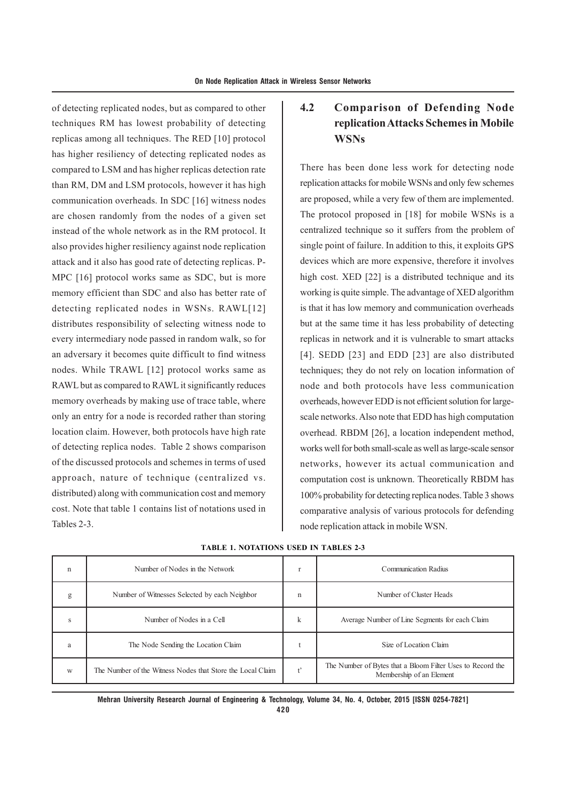of detecting replicated nodes, but as compared to other techniques RM has lowest probability of detecting replicas among all techniques. The RED [10] protocol has higher resiliency of detecting replicated nodes as compared to LSM and has higher replicas detection rate than RM, DM and LSM protocols, however it has high communication overheads. In SDC [16] witness nodes are chosen randomly from the nodes of a given set instead of the whole network as in the RM protocol. It also provides higher resiliency against node replication attack and it also has good rate of detecting replicas. P-MPC [16] protocol works same as SDC, but is more memory efficient than SDC and also has better rate of detecting replicated nodes in WSNs. RAWL[12] distributes responsibility of selecting witness node to every intermediary node passed in random walk, so for an adversary it becomes quite difficult to find witness nodes. While TRAWL [12] protocol works same as RAWL but as compared to RAWL it significantly reduces memory overheads by making use of trace table, where only an entry for a node is recorded rather than storing location claim. However, both protocols have high rate of detecting replica nodes. Table 2 shows comparison of the discussed protocols and schemes in terms of used approach, nature of technique (centralized vs. distributed) along with communication cost and memory cost. Note that table 1 contains list of notations used in Tables 2-3.

### **4.2 Comparison of Defending Node replication Attacks Schemes in Mobile WSNs**

There has been done less work for detecting node replication attacks for mobile WSNs and only few schemes are proposed, while a very few of them are implemented. The protocol proposed in [18] for mobile WSNs is a centralized technique so it suffers from the problem of single point of failure. In addition to this, it exploits GPS devices which are more expensive, therefore it involves high cost. XED [22] is a distributed technique and its working is quite simple. The advantage of XED algorithm is that it has low memory and communication overheads but at the same time it has less probability of detecting replicas in network and it is vulnerable to smart attacks [4]. SEDD [23] and EDD [23] are also distributed techniques; they do not rely on location information of node and both protocols have less communication overheads, however EDD is not efficient solution for largescale networks. Also note that EDD has high computation overhead. RBDM [26], a location independent method, works well for both small-scale as well as large-scale sensor networks, however its actual communication and computation cost is unknown. Theoretically RBDM has 100% probability for detecting replica nodes. Table 3 shows comparative analysis of various protocols for defending node replication attack in mobile WSN.

| n | Number of Nodes in the Network                             | ÷           | <b>Communication Radius</b>                                                            |
|---|------------------------------------------------------------|-------------|----------------------------------------------------------------------------------------|
| g | Number of Witnesses Selected by each Neighbor              | $\mathbf n$ | Number of Cluster Heads                                                                |
| s | Number of Nodes in a Cell                                  | k           | Average Number of Line Segments for each Claim                                         |
| a | The Node Sending the Location Claim                        |             | Size of Location Claim                                                                 |
| W | The Number of the Witness Nodes that Store the Local Claim | $+2$        | The Number of Bytes that a Bloom Filter Uses to Record the<br>Membership of an Element |

**TABLE 1. NOTATIONS USED IN TABLES 2-3**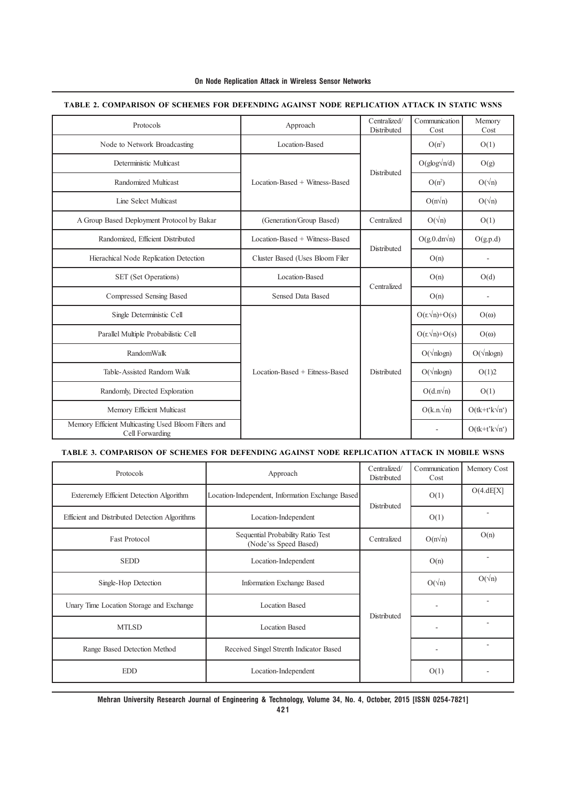| On Node Replication Attack in Wireless Sensor Networks |  |  |  |  |
|--------------------------------------------------------|--|--|--|--|
|--------------------------------------------------------|--|--|--|--|

| Protocols                                                               | Centralized/<br>Approach<br>Distributed              |             | Communication<br>Cost | Memory<br>Cost       |
|-------------------------------------------------------------------------|------------------------------------------------------|-------------|-----------------------|----------------------|
| Node to Network Broadcasting                                            | Location-Based                                       |             | $O(n^2)$              | O(1)                 |
| Deterministic Multicast                                                 |                                                      |             |                       | O(g)                 |
| Randomized Multicast                                                    | <b>Distributed</b><br>Location-Based + Witness-Based | $O(n^2)$    | $O(\sqrt{n})$         |                      |
| Line Select Multicast                                                   |                                                      |             | $O(n\sqrt{n})$        | $O(\sqrt{n})$        |
| A Group Based Deployment Protocol by Bakar                              | (Generation/Group Based)                             | Centralized | $O(\sqrt{n})$         | O(1)                 |
| Randomized, Efficient Distributed                                       | Location-Based + Witness-Based                       |             | $O(g.0.dn\sqrt{n})$   | O(g.p.d)             |
| Hierachical Node Replication Detection                                  | Cluster Based (Uses Bloom Filer                      | Distributed | O(n)                  |                      |
| SET (Set Operations)                                                    | Location-Based                                       | Centralized | O(n)                  | O(d)                 |
| Compressed Sensing Based                                                | <b>Sensed Data Based</b>                             |             | O(n)                  | $\overline{a}$       |
| Single Deterministic Cell                                               |                                                      |             | $O(r.\sqrt{n})+O(s)$  | $O(\omega)$          |
| Parallel Multiple Probabilistic Cell                                    |                                                      | Distributed | $O(r.\sqrt{n})+O(s)$  | $O(\omega)$          |
| RandomWalk                                                              |                                                      |             | $O(\sqrt{nlogn})$     | $O(\sqrt{n \log n})$ |
| Table-Assisted Random Walk                                              | Location-Based + Eitness-Based                       |             | $O(\sqrt{nlogn})$     | O(1)2                |
| Randomly, Directed Exploration                                          |                                                      |             | $O(d.n\sqrt{n})$      | O(1)                 |
| Memory Efficient Multicast                                              |                                                      |             | $O(k.n.\sqrt{n})$     | $O(tk+t'k\sqrt{n'})$ |
| Memory Efficient Multicasting Used Bloom Filters and<br>Cell Forwarding |                                                      |             |                       | $O(tk+t'k\sqrt{n})$  |

#### **TABLE 2. COMPARISON OF SCHEMES FOR DEFENDING AGAINST NODE REPLICATION ATTACK IN STATIC WSNS**

#### **TABLE 3. COMPARISON OF SCHEMES FOR DEFENDING AGAINST NODE REPLICATION ATTACK IN MOBILE WSNS**

| Protocols                                       | Approach                                                   | Centralized/<br>Distributed | Communication<br>Cost | Memory Cost   |
|-------------------------------------------------|------------------------------------------------------------|-----------------------------|-----------------------|---------------|
| <b>Exteremely Efficient Detection Algorithm</b> | Location-Independent, Information Exchange Based           | Distributed                 | O(1)                  | O(4.dE[X])    |
| Efficient and Distributed Detection Algorithms  | Location-Independent                                       |                             | O(1)                  |               |
| <b>Fast Protocol</b>                            | Sequential Probability Ratio Test<br>(Node'ss Speed Based) | Centralized                 | $O(n\sqrt{n})$        | O(n)          |
| <b>SEDD</b>                                     | Location-Independent                                       |                             | O(n)                  |               |
| Single-Hop Detection                            | Information Exchange Based                                 |                             | $O(\sqrt{n})$         | $O(\sqrt{n})$ |
| Unary Time Location Storage and Exchange        | Location Based                                             | Distributed                 |                       |               |
| <b>MTLSD</b>                                    | <b>Location Based</b>                                      |                             |                       |               |
| Range Based Detection Method                    | Received Singel Strenth Indicator Based                    |                             | ٠                     |               |
| <b>EDD</b>                                      | Location-Independent                                       |                             | O(1)                  |               |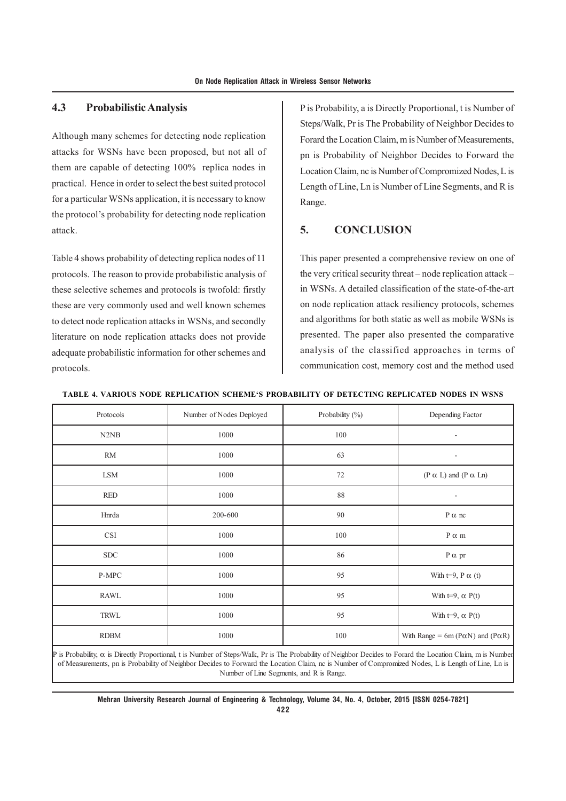#### **4.3 Probabilistic Analysis**

Although many schemes for detecting node replication attacks for WSNs have been proposed, but not all of them are capable of detecting 100% replica nodes in practical. Hence in order to select the best suited protocol for a particular WSNs application, it is necessary to know the protocol's probability for detecting node replication attack.

Table 4 shows probability of detecting replica nodes of 11 protocols. The reason to provide probabilistic analysis of these selective schemes and protocols is twofold: firstly these are very commonly used and well known schemes to detect node replication attacks in WSNs, and secondly literature on node replication attacks does not provide adequate probabilistic information for other schemes and protocols.

P is Probability, a is Directly Proportional, t is Number of Steps/Walk, Pr is The Probability of Neighbor Decides to Forard the Location Claim, m is Number of Measurements, pn is Probability of Neighbor Decides to Forward the Location Claim, nc is Number of Compromized Nodes, L is Length of Line, Ln is Number of Line Segments, and R is Range.

#### **5. CONCLUSION**

This paper presented a comprehensive review on one of the very critical security threat – node replication attack – in WSNs. A detailed classification of the state-of-the-art on node replication attack resiliency protocols, schemes and algorithms for both static as well as mobile WSNs is presented. The paper also presented the comparative analysis of the classified approaches in terms of communication cost, memory cost and the method used

| Protocols                     | Number of Nodes Deployed | Probability (%) | Depending Factor                                    |
|-------------------------------|--------------------------|-----------------|-----------------------------------------------------|
| N <sub>2</sub> N <sub>B</sub> | 1000                     | 100             | ۰                                                   |
| <b>RM</b>                     | 1000                     | 63              | ٠                                                   |
| LSM                           | 1000                     | 72              | $(P \alpha L)$ and $(P \alpha Ln)$                  |
| <b>RED</b>                    | 1000                     | 88              | ٠                                                   |
| Hnrda                         | 200-600                  | 90              | $P \alpha$ nc                                       |
| <b>CSI</b>                    | 1000                     | 100             | $P \alpha$ m                                        |
| ${\rm SDC}$                   | 1000                     | 86              | $P \alpha$ pr                                       |
| P-MPC                         | 1000                     | 95              | With t=9, P $\alpha$ (t)                            |
| <b>RAWL</b>                   | 1000                     | 95              | With $t=9$ , $\alpha$ P(t)                          |
| <b>TRWL</b>                   | 1000                     | 95              | With $t=9$ , $\alpha$ P(t)                          |
| <b>RDBM</b>                   | 1000                     | 100             | With Range = 6m ( $P\alpha N$ ) and ( $P\alpha R$ ) |

#### **TABLE 4. VARIOUS NODE REPLICATION SCHEME'S PROBABILITY OF DETECTING REPLICATED NODES IN WSNS**

P is Probability,  $\alpha$  is Directly Proportional, t is Number of Steps/Walk, Pr is The Probability of Neighbor Decides to Forard the Location Claim, m is Number of Measurements, pn is Probability of Neighbor Decides to Forward the Location Claim, nc is Number of Compromized Nodes, L is Length of Line, Ln is Number of Line Segments, and R is Range.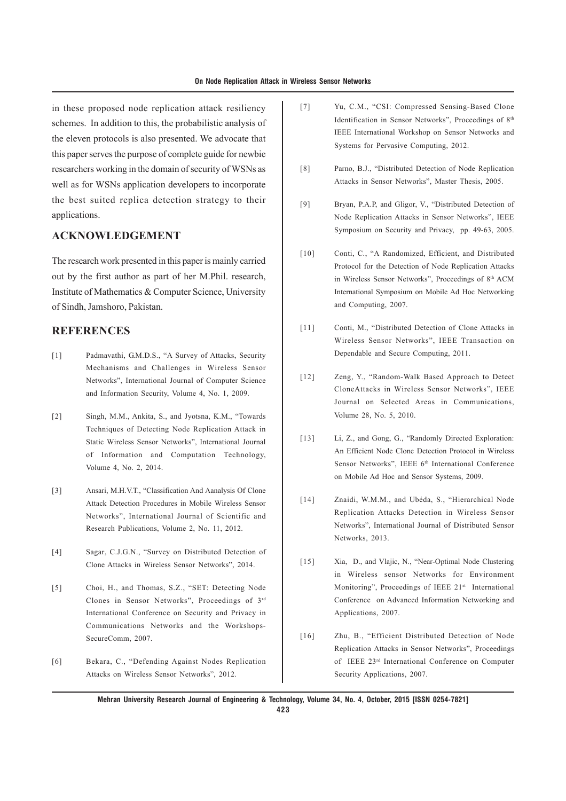in these proposed node replication attack resiliency schemes. In addition to this, the probabilistic analysis of the eleven protocols is also presented. We advocate that this paper serves the purpose of complete guide for newbie researchers working in the domain of security of WSNs as well as for WSNs application developers to incorporate the best suited replica detection strategy to their applications.

### **ACKNOWLEDGEMENT**

The research work presented in this paper is mainly carried out by the first author as part of her M.Phil. research, Institute of Mathematics & Computer Science, University of Sindh, Jamshoro, Pakistan.

#### **REFERENCES**

- [1] Padmavathi, G.M.D.S., "A Survey of Attacks, Security Mechanisms and Challenges in Wireless Sensor Networks", International Journal of Computer Science and Information Security, Volume 4, No. 1, 2009.
- [2] Singh, M.M., Ankita, S., and Jyotsna, K.M., "Towards Techniques of Detecting Node Replication Attack in Static Wireless Sensor Networks", International Journal of Information and Computation Technology, Volume 4, No. 2, 2014.
- [3] Ansari, M.H.V.T., "Classification And Aanalysis Of Clone Attack Detection Procedures in Mobile Wireless Sensor Networks", International Journal of Scientific and Research Publications, Volume 2, No. 11, 2012.
- [4] Sagar, C.J.G.N., "Survey on Distributed Detection of Clone Attacks in Wireless Sensor Networks", 2014.
- [5] Choi, H., and Thomas, S.Z., "SET: Detecting Node Clones in Sensor Networks", Proceedings of 3rd International Conference on Security and Privacy in Communications Networks and the Workshops-SecureComm, 2007.
- [6] Bekara, C., "Defending Against Nodes Replication Attacks on Wireless Sensor Networks", 2012.
- [7] Yu, C.M., "CSI: Compressed Sensing-Based Clone Identification in Sensor Networks", Proceedings of 8th IEEE International Workshop on Sensor Networks and Systems for Pervasive Computing, 2012.
- [8] Parno, B.J., "Distributed Detection of Node Replication Attacks in Sensor Networks", Master Thesis, 2005.
- [9] Bryan, P.A.P, and Gligor, V., "Distributed Detection of Node Replication Attacks in Sensor Networks", IEEE Symposium on Security and Privacy, pp. 49-63, 2005.
- [10] Conti, C., "A Randomized, Efficient, and Distributed Protocol for the Detection of Node Replication Attacks in Wireless Sensor Networks", Proceedings of 8<sup>th</sup> ACM International Symposium on Mobile Ad Hoc Networking and Computing, 2007.
- [11] Conti, M., "Distributed Detection of Clone Attacks in Wireless Sensor Networks", IEEE Transaction on Dependable and Secure Computing, 2011.
- [12] Zeng, Y., "Random-Walk Based Approach to Detect CloneAttacks in Wireless Sensor Networks", IEEE Journal on Selected Areas in Communications, Volume 28, No. 5, 2010.
- [13] Li, Z., and Gong, G., "Randomly Directed Exploration: An Efficient Node Clone Detection Protocol in Wireless Sensor Networks", IEEE 6<sup>th</sup> International Conference on Mobile Ad Hoc and Sensor Systems, 2009.
- [14] Znaidi, W.M.M., and Ubéda, S., "Hierarchical Node Replication Attacks Detection in Wireless Sensor Networks", International Journal of Distributed Sensor Networks, 2013.
- [15] Xia, D., and Vlajic, N., "Near-Optimal Node Clustering in Wireless sensor Networks for Environment Monitoring", Proceedings of IEEE 21st International Conference on Advanced Information Networking and Applications, 2007.
- [16] Zhu, B., "Efficient Distributed Detection of Node Replication Attacks in Sensor Networks", Proceedings of IEEE 23rd International Conference on Computer Security Applications, 2007.